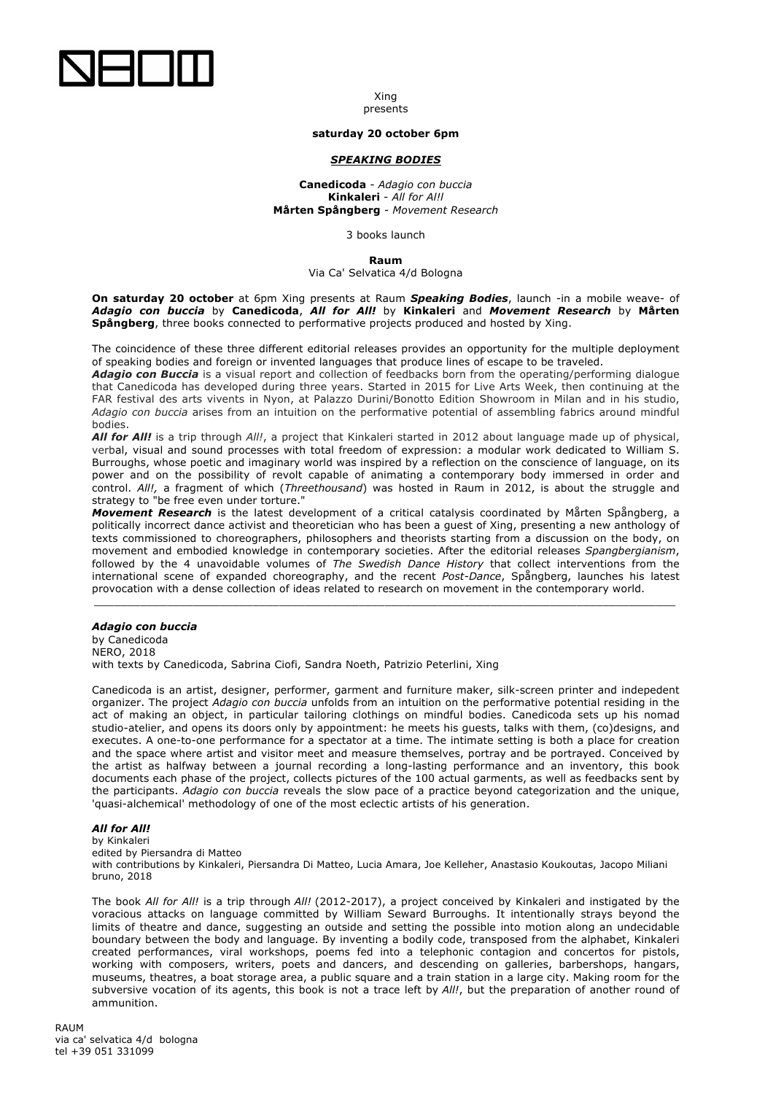

#### Xing presents

## **saturday 20 october 6pm**

## *SPEAKING BODIES*

**Canedicoda** - *Adagio con buccia* **Kinkaleri** - *All for Al!l* **Mårten Spångberg** *- Movement Research*

3 books launch

#### **Raum**

Via Ca' Selvatica 4/d Bologna

**On saturday 20 october** at 6pm Xing presents at Raum *Speaking Bodies*, launch -in a mobile weave- of *Adagio con buccia* by **Canedicoda**, *All for All!* by **Kinkaleri** and *Movement Research* by **Mårten Spångberg**, three books connected to performative projects produced and hosted by Xing.

The coincidence of these three different editorial releases provides an opportunity for the multiple deployment of speaking bodies and foreign or invented languages that produce lines of escape to be traveled.

*Adagio con Buccia* is a visual report and collection of feedbacks born from the operating/performing dialogue that Canedicoda has developed during three years. Started in 2015 for Live Arts Week, then continuing at the FAR festival des arts vivents in Nyon, at Palazzo Durini/Bonotto Edition Showroom in Milan and in his studio, *Adagio con buccia* arises from an intuition on the performative potential of assembling fabrics around mindful bodies.

*All for All!* is a trip through *All!*, a project that Kinkaleri started in 2012 about language made up of physical, verbal, visual and sound processes with total freedom of expression: a modular work dedicated to William S. Burroughs, whose poetic and imaginary world was inspired by a reflection on the conscience of language, on its power and on the possibility of revolt capable of animating a contemporary body immersed in order and control. *All!,* a fragment of which (*Threethousand*) was hosted in Raum in 2012, is about the struggle and strategy to "be free even under torture."

*Movement Research* is the latest development of a critical catalysis coordinated by Mårten Spångberg, a politically incorrect dance activist and theoretician who has been a guest of Xing, presenting a new anthology of texts commissioned to choreographers, philosophers and theorists starting from a discussion on the body, on movement and embodied knowledge in contemporary societies. After the editorial releases *Spangbergianism*, followed by the 4 unavoidable volumes of *The Swedish Dance History* that collect interventions from the international scene of expanded choreography, and the recent *Post-Dance*, Spångberg, launches his latest provocation with a dense collection of ideas related to research on movement in the contemporary world.

*\_\_\_\_\_\_\_\_\_\_\_\_\_\_\_\_\_\_\_\_\_\_\_\_\_\_\_\_\_\_\_\_\_\_\_\_\_\_\_\_\_\_\_\_\_\_\_\_\_\_\_\_\_\_\_\_\_\_\_\_\_\_\_\_\_\_\_\_\_\_\_\_\_\_\_\_\_\_\_\_\_\_\_\_\_\_\_\_*

## *Adagio con buccia*

by Canedicoda NERO, 2018 with texts by Canedicoda, Sabrina Ciofi, Sandra Noeth, Patrizio Peterlini, Xing

Canedicoda is an artist, designer, performer, garment and furniture maker, silk-screen printer and indepedent organizer. The project *Adagio con buccia* unfolds from an intuition on the performative potential residing in the act of making an object, in particular tailoring clothings on mindful bodies. Canedicoda sets up his nomad studio-atelier, and opens its doors only by appointment: he meets his guests, talks with them, (co)designs, and executes. A one-to-one performance for a spectator at a time. The intimate setting is both a place for creation and the space where artist and visitor meet and measure themselves, portray and be portrayed. Conceived by the artist as halfway between a journal recording a long-lasting performance and an inventory, this book documents each phase of the project, collects pictures of the 100 actual garments, as well as feedbacks sent by the participants. *Adagio con buccia* reveals the slow pace of a practice beyond categorization and the unique, 'quasi-alchemical' methodology of one of the most eclectic artists of his generation.

# *All for All!*

by Kinkaleri edited by Piersandra di Matteo

with contributions by Kinkaleri, Piersandra Di Matteo, Lucia Amara, Joe Kelleher, Anastasio Koukoutas, Jacopo Miliani bruno, 2018

The book *All for All!* is a trip through *All!* (2012-2017), a project conceived by Kinkaleri and instigated by the voracious attacks on language committed by William Seward Burroughs. It intentionally strays beyond the limits of theatre and dance, suggesting an outside and setting the possible into motion along an undecidable boundary between the body and language. By inventing a bodily code, transposed from the alphabet, Kinkaleri created performances, viral workshops, poems fed into a telephonic contagion and concertos for pistols, working with composers, writers, poets and dancers, and descending on galleries, barbershops, hangars, museums, theatres, a boat storage area, a public square and a train station in a large city. Making room for the subversive vocation of its agents, this book is not a trace left by *All!*, but the preparation of another round of ammunition.